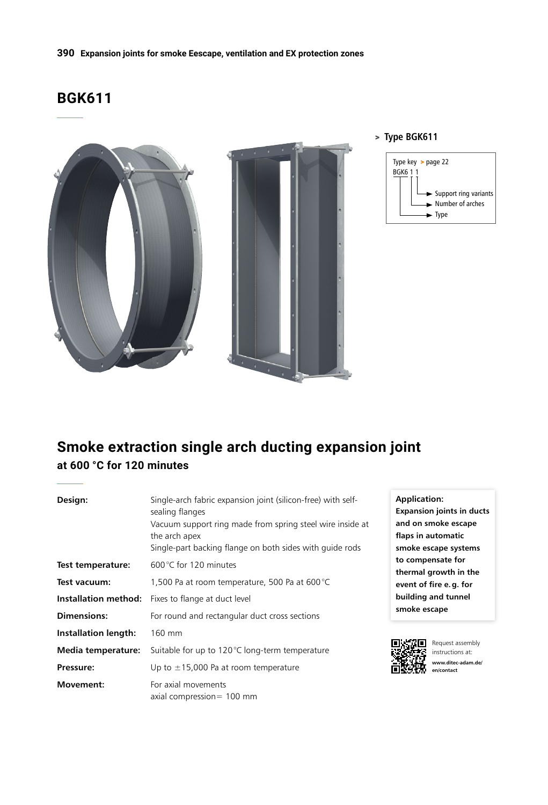# **BGK611**



### > **Type BGK611**



# **Smoke extraction single arch ducting expansion joint at 600 °C for 120 minutes**

| Design:                     | Single-arch fabric expansion joint (silicon-free) with self-<br>sealing flanges | Ap<br>Exp |
|-----------------------------|---------------------------------------------------------------------------------|-----------|
|                             | Vacuum support ring made from spring steel wire inside at                       | an        |
|                             | the arch apex                                                                   | fla       |
|                             | Single-part backing flange on both sides with quide rods                        | sm        |
| Test temperature:           | 600 °C for 120 minutes                                                          | to<br>the |
| Test vacuum:                | 1,500 Pa at room temperature, 500 Pa at 600 °C                                  | evo       |
|                             | Installation method: Fixes to flange at duct level                              | bui       |
| Dimensions:                 | For round and rectangular duct cross sections                                   | sm        |
| <b>Installation length:</b> | 160 mm                                                                          |           |
| Media temperature:          | Suitable for up to 120°C long-term temperature                                  |           |
| Pressure:                   | Up to $\pm$ 15,000 Pa at room temperature                                       | ñΫ        |
| <b>Movement:</b>            | For axial movements<br>axial compression $= 100$ mm                             |           |

**Application: Expansion joints in ducts and on smoke escape flaps in automatic smoke escape systems to compensate for thermal growth in the ent of fire e.g. for building and tunnel smoke escape**



Request assembly instructions at: **www.ditec-adam.de/ en/contact**